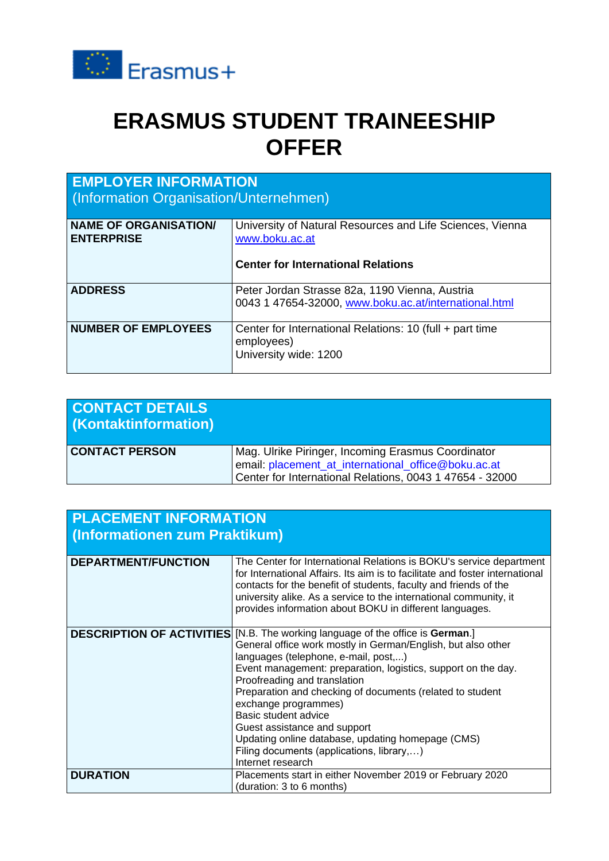

## **ERASMUS STUDENT TRAINEESHIP OFFER**

| <b>EMPLOYER INFORMATION</b><br>(Information Organisation/Unternehmen) |                                                                                                                          |  |
|-----------------------------------------------------------------------|--------------------------------------------------------------------------------------------------------------------------|--|
| <b>NAME OF ORGANISATION/</b><br><b>ENTERPRISE</b>                     | University of Natural Resources and Life Sciences, Vienna<br>www.boku.ac.at<br><b>Center for International Relations</b> |  |
|                                                                       |                                                                                                                          |  |
| <b>ADDRESS</b>                                                        | Peter Jordan Strasse 82a, 1190 Vienna, Austria<br>0043 1 47654-32000, www.boku.ac.at/international.html                  |  |
| <b>NUMBER OF EMPLOYEES</b>                                            | Center for International Relations: 10 (full + part time<br>employees)<br>University wide: 1200                          |  |

| <b>CONTACT DETAILS</b><br>(Kontaktinformation) |                                                                                                                                                                       |
|------------------------------------------------|-----------------------------------------------------------------------------------------------------------------------------------------------------------------------|
| <b>CONTACT PERSON</b>                          | Mag. Ulrike Piringer, Incoming Erasmus Coordinator<br>email: placement_at_international_office@boku.ac.at<br>Center for International Relations, 0043 1 47654 - 32000 |

| <b>PLACEMENT INFORMATION</b><br>(Informationen zum Praktikum) |                                                                                                                                                                                                                                                                                                                                                                                                                                                                                                                                                                    |  |
|---------------------------------------------------------------|--------------------------------------------------------------------------------------------------------------------------------------------------------------------------------------------------------------------------------------------------------------------------------------------------------------------------------------------------------------------------------------------------------------------------------------------------------------------------------------------------------------------------------------------------------------------|--|
| <b>DEPARTMENT/FUNCTION</b>                                    | The Center for International Relations is BOKU's service department<br>for International Affairs. Its aim is to facilitate and foster international<br>contacts for the benefit of students, faculty and friends of the<br>university alike. As a service to the international community, it<br>provides information about BOKU in different languages.                                                                                                                                                                                                            |  |
|                                                               | <b>DESCRIPTION OF ACTIVITIES</b> [N.B. The working language of the office is German.]<br>General office work mostly in German/English, but also other<br>languages (telephone, e-mail, post,)<br>Event management: preparation, logistics, support on the day.<br>Proofreading and translation<br>Preparation and checking of documents (related to student<br>exchange programmes)<br>Basic student advice<br>Guest assistance and support<br>Updating online database, updating homepage (CMS)<br>Filing documents (applications, library,)<br>Internet research |  |
| <b>DURATION</b>                                               | Placements start in either November 2019 or February 2020<br>(duration: 3 to 6 months)                                                                                                                                                                                                                                                                                                                                                                                                                                                                             |  |